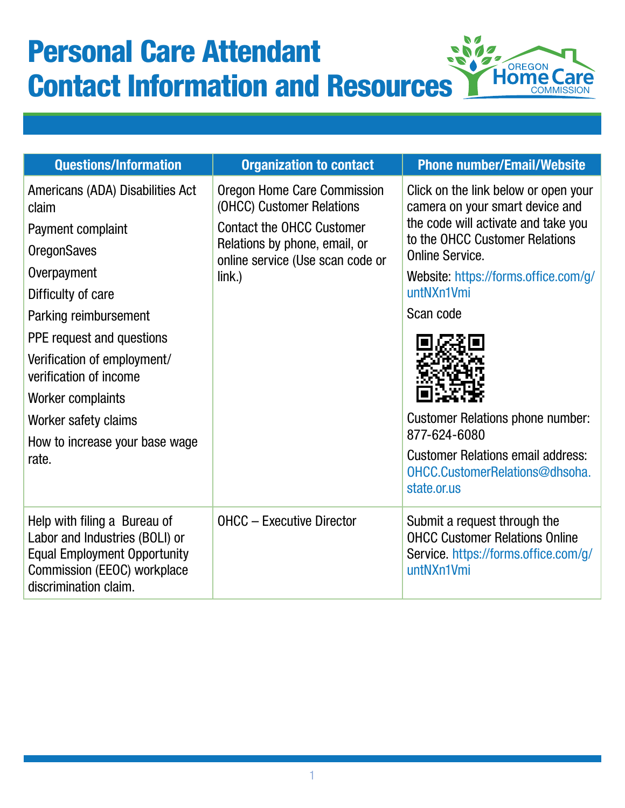## $\mathcal{N}$ Personal Care Attendant  $\blacksquare$ ╱ **g**s e Ø, **Horegon** Contact Information and Resources **COMMISSION**

| <b>Questions/Information</b>                                                                                                                                                                        | <b>Organization to contact</b>                                                                                                                                             | <b>Phone number/Email/Website</b>                                                                                                                                                                                                |
|-----------------------------------------------------------------------------------------------------------------------------------------------------------------------------------------------------|----------------------------------------------------------------------------------------------------------------------------------------------------------------------------|----------------------------------------------------------------------------------------------------------------------------------------------------------------------------------------------------------------------------------|
| Americans (ADA) Disabilities Act<br>claim<br>Payment complaint<br><b>OregonSaves</b><br>Overpayment<br>Difficulty of care                                                                           | Oregon Home Care Commission<br>(OHCC) Customer Relations<br><b>Contact the OHCC Customer</b><br>Relations by phone, email, or<br>online service (Use scan code or<br>link. | Click on the link below or open your<br>camera on your smart device and<br>the code will activate and take you<br>to the OHCC Customer Relations<br><b>Online Service.</b><br>Website: https://forms.office.com/g/<br>untNXn1Vmi |
| Parking reimbursement<br>PPE request and questions<br>Verification of employment/<br>verification of income<br>Worker complaints<br>Worker safety claims<br>How to increase your base wage<br>rate. |                                                                                                                                                                            | Scan code<br><b>Customer Relations phone number:</b><br>877-624-6080<br><b>Customer Relations email address:</b><br>OHCC.CustomerRelations@dhsoha.<br>state.or.us                                                                |
| Help with filing a Bureau of<br>Labor and Industries (BOLI) or<br><b>Equal Employment Opportunity</b><br>Commission (EEOC) workplace<br>discrimination claim.                                       | <b>OHCC - Executive Director</b>                                                                                                                                           | Submit a request through the<br><b>OHCC Customer Relations Online</b><br>Service. https://forms.office.com/g/<br>untNXn1Vmi                                                                                                      |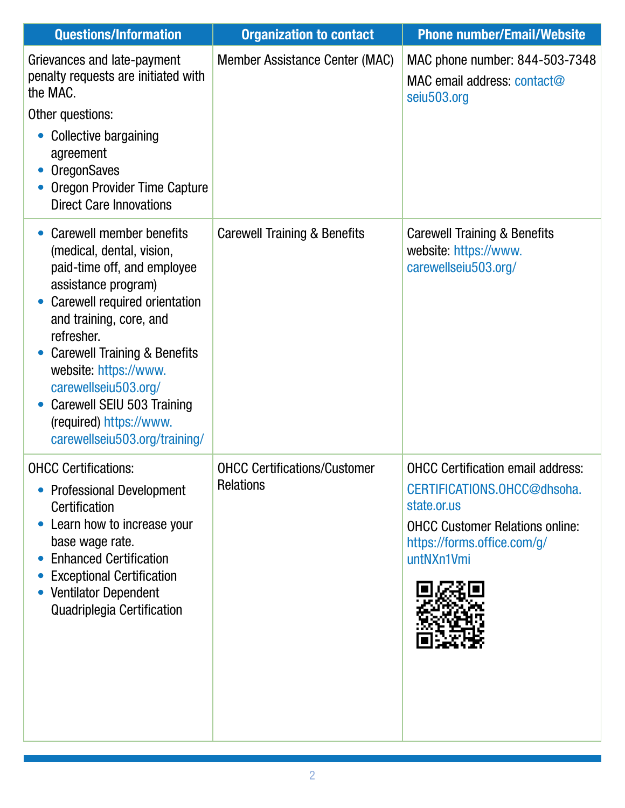| <b>Questions/Information</b>                                                                                                                                                                                                                                                                                                                                                | <b>Organization to contact</b>                          | <b>Phone number/Email/Website</b>                                                                                                                                             |
|-----------------------------------------------------------------------------------------------------------------------------------------------------------------------------------------------------------------------------------------------------------------------------------------------------------------------------------------------------------------------------|---------------------------------------------------------|-------------------------------------------------------------------------------------------------------------------------------------------------------------------------------|
| Grievances and late-payment<br>penalty requests are initiated with<br>the MAC.<br>Other questions:<br>Collective bargaining<br>agreement<br><b>OregonSaves</b><br>Oregon Provider Time Capture<br><b>Direct Care Innovations</b>                                                                                                                                            | Member Assistance Center (MAC)                          | MAC phone number: 844-503-7348<br>MAC email address: contact@<br>seiu503.org                                                                                                  |
| Carewell member benefits<br>(medical, dental, vision,<br>paid-time off, and employee<br>assistance program)<br>Carewell required orientation<br>and training, core, and<br>refresher.<br><b>Carewell Training &amp; Benefits</b><br>website: https://www.<br>carewellseiu503.org/<br>Carewell SEIU 503 Training<br>(required) https://www.<br>carewellseiu503.org/training/ | <b>Carewell Training &amp; Benefits</b>                 | <b>Carewell Training &amp; Benefits</b><br>website: https://www.<br>carewellseiu503.org/                                                                                      |
| <b>OHCC Certifications:</b><br><b>Professional Development</b><br>Certification<br>Learn how to increase your<br>base wage rate.<br><b>Enhanced Certification</b><br><b>Exceptional Certification</b><br><b>Ventilator Dependent</b><br>Quadriplegia Certification                                                                                                          | <b>OHCC Certifications/Customer</b><br><b>Relations</b> | <b>OHCC Certification email address:</b><br>CERTIFICATIONS.OHCC@dhsoha.<br>state.or.us<br><b>OHCC Customer Relations online:</b><br>https://forms.office.com/g/<br>untNXn1Vmi |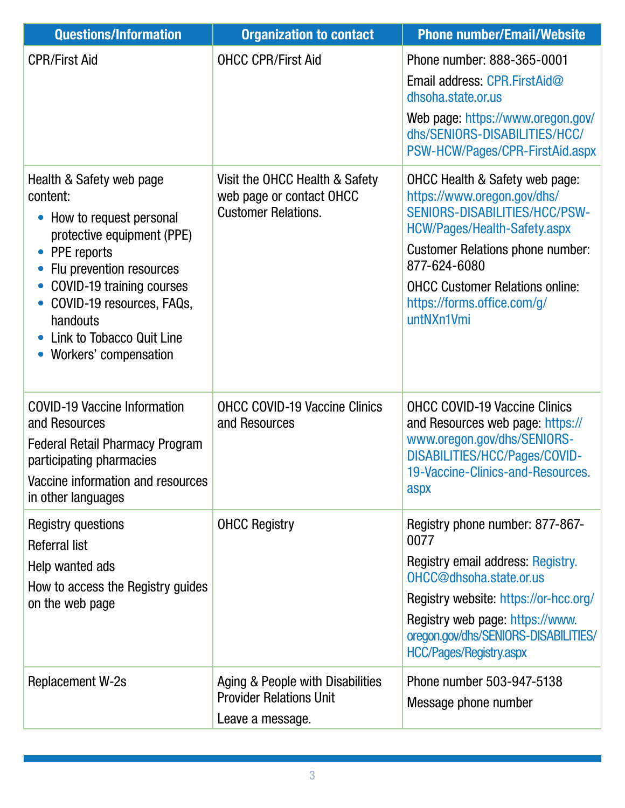| <b>Questions/Information</b>                                                                                                                                                                                                                                         | <b>Organization to contact</b>                                                           | <b>Phone number/Email/Website</b>                                                                                                                                                                                                                                                |
|----------------------------------------------------------------------------------------------------------------------------------------------------------------------------------------------------------------------------------------------------------------------|------------------------------------------------------------------------------------------|----------------------------------------------------------------------------------------------------------------------------------------------------------------------------------------------------------------------------------------------------------------------------------|
| <b>CPR/First Aid</b>                                                                                                                                                                                                                                                 | <b>OHCC CPR/First Aid</b>                                                                | Phone number: 888-365-0001<br>Email address: CPR FirstAid@<br>dhsoha.state.or.us<br>Web page: https://www.oregon.gov/<br>dhs/SENIORS-DISABILITIES/HCC/<br>PSW-HCW/Pages/CPR-FirstAid.aspx                                                                                        |
| Health & Safety web page<br>content:<br>How to request personal<br>protective equipment (PPE)<br>PPE reports<br>Flu prevention resources<br>COVID-19 training courses<br>COVID-19 resources, FAQs,<br>handouts<br>Link to Tobacco Quit Line<br>Workers' compensation | Visit the OHCC Health & Safety<br>web page or contact OHCC<br><b>Customer Relations.</b> | OHCC Health & Safety web page:<br>https://www.oregon.gov/dhs/<br>SENIORS-DISABILITIES/HCC/PSW-<br>HCW/Pages/Health-Safety.aspx<br><b>Customer Relations phone number:</b><br>877-624-6080<br><b>OHCC Customer Relations online:</b><br>https://forms.office.com/g/<br>untNXn1Vmi |
| <b>COVID-19 Vaccine Information</b><br>and Resources<br>Federal Retail Pharmacy Program<br>participating pharmacies<br>Vaccine information and resources<br>in other languages                                                                                       | <b>OHCC COVID-19 Vaccine Clinics</b><br>and Resources                                    | <b>OHCC COVID-19 Vaccine Clinics</b><br>and Resources web page: https://<br>www.oregon.gov/dhs/SENIORS-<br>DISABILITIES/HCC/Pages/COVID-<br>19-Vaccine-Clinics-and-Resources.<br>aspx                                                                                            |
| <b>Registry questions</b><br><b>Referral list</b><br>Help wanted ads<br>How to access the Registry guides<br>on the web page                                                                                                                                         | <b>OHCC Registry</b>                                                                     | Registry phone number: 877-867-<br>0077<br>Registry email address: Registry.<br>OHCC@dhsoha.state.or.us<br>Registry website: https://or-hcc.org/<br>Registry web page: https://www.<br>oregon.gov/dhs/SENIORS-DISABILITIES/<br><b>HCC/Pages/Registry.aspx</b>                    |
| <b>Replacement W-2s</b>                                                                                                                                                                                                                                              | Aging & People with Disabilities<br><b>Provider Relations Unit</b><br>Leave a message.   | Phone number 503-947-5138<br>Message phone number                                                                                                                                                                                                                                |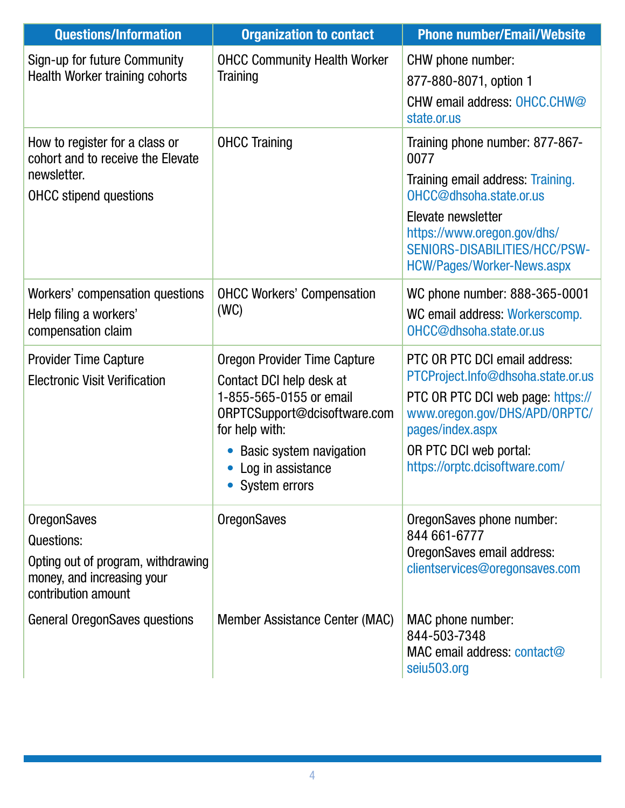| <b>Questions/Information</b>                                                                                                | <b>Organization to contact</b>                                                                                                                                                                                         | <b>Phone number/Email/Website</b>                                                                                                                                                                                                  |
|-----------------------------------------------------------------------------------------------------------------------------|------------------------------------------------------------------------------------------------------------------------------------------------------------------------------------------------------------------------|------------------------------------------------------------------------------------------------------------------------------------------------------------------------------------------------------------------------------------|
| Sign-up for future Community<br><b>Health Worker training cohorts</b>                                                       | <b>OHCC Community Health Worker</b><br>Training                                                                                                                                                                        | CHW phone number:<br>877-880-8071, option 1<br>CHW email address: OHCC.CHW@<br>state.or.us                                                                                                                                         |
| How to register for a class or<br>cohort and to receive the Elevate<br>newsletter.<br><b>OHCC</b> stipend questions         | <b>OHCC Training</b>                                                                                                                                                                                                   | Training phone number: 877-867-<br>0077<br>Training email address: Training.<br>OHCC@dhsoha.state.or.us<br>Elevate newsletter<br>https://www.oregon.gov/dhs/<br>SENIORS-DISABILITIES/HCC/PSW-<br><b>HCW/Pages/Worker-News.aspx</b> |
| Workers' compensation questions<br>Help filing a workers'<br>compensation claim                                             | <b>OHCC Workers' Compensation</b><br>(WC)                                                                                                                                                                              | WC phone number: 888-365-0001<br>WC email address: Workerscomp.<br>OHCC@dhsoha.state.or.us                                                                                                                                         |
| <b>Provider Time Capture</b><br><b>Electronic Visit Verification</b>                                                        | <b>Oregon Provider Time Capture</b><br>Contact DCI help desk at<br>1-855-565-0155 or email<br>ORPTCSupport@dcisoftware.com<br>for help with:<br><b>Basic system navigation</b><br>Log in assistance<br>• System errors | PTC OR PTC DCI email address:<br>PTCProject.Info@dhsoha.state.or.us<br>PTC OR PTC DCI web page: https://<br>www.oregon.gov/DHS/APD/ORPTC/<br>pages/index.aspx<br>OR PTC DCI web portal:<br>https://orptc.dcisoftware.com/          |
| <b>OregonSaves</b><br>Questions:<br>Opting out of program, withdrawing<br>money, and increasing your<br>contribution amount | <b>OregonSaves</b>                                                                                                                                                                                                     | OregonSaves phone number:<br>844 661-6777<br>OregonSaves email address:<br>clientservices@oregonsaves.com                                                                                                                          |
| <b>General OregonSaves questions</b>                                                                                        | Member Assistance Center (MAC)                                                                                                                                                                                         | MAC phone number:<br>844-503-7348<br>MAC email address: contact@<br>seiu503.org                                                                                                                                                    |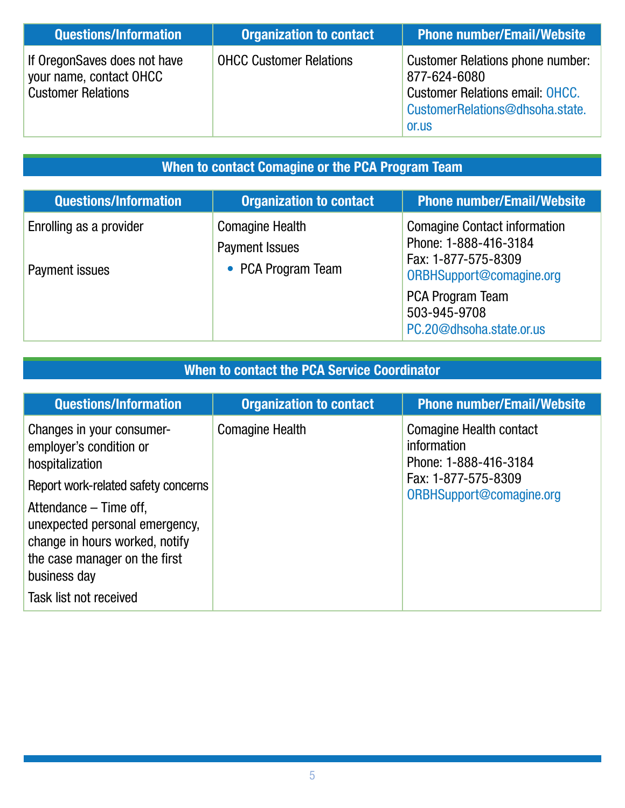| <b>Questions/Information</b>                                                         | <b>Organization to contact</b> | <b>Phone number/Email/Website</b>                                                                                                             |
|--------------------------------------------------------------------------------------|--------------------------------|-----------------------------------------------------------------------------------------------------------------------------------------------|
| If OregonSaves does not have<br>your name, contact OHCC<br><b>Customer Relations</b> | <b>OHCC Customer Relations</b> | <b>Customer Relations phone number:</b><br>877-624-6080<br><b>Customer Relations email: OHCC.</b><br>CustomerRelations@dhsoha.state.<br>or.us |

## When to contact Comagine or the PCA Program Team

| <b>Questions/Information</b>              | <b>Organization to contact</b>                                        | <b>Phone number/Email/Website</b>                                                                               |
|-------------------------------------------|-----------------------------------------------------------------------|-----------------------------------------------------------------------------------------------------------------|
| Enrolling as a provider<br>Payment issues | <b>Comagine Health</b><br><b>Payment Issues</b><br>• PCA Program Team | <b>Comagine Contact information</b><br>Phone: 1-888-416-3184<br>Fax: 1-877-575-8309<br>ORBHSupport@comagine.org |
|                                           |                                                                       | <b>PCA Program Team</b><br>503-945-9708<br>PC.20@dhsoha.state.or.us                                             |

## When to contact the PCA Service Coordinator

| <b>Questions/Information</b>                                                                                                                | <b>Organization to contact</b> | <b>Phone number/Email/Website</b>                                      |
|---------------------------------------------------------------------------------------------------------------------------------------------|--------------------------------|------------------------------------------------------------------------|
| Changes in your consumer-<br>employer's condition or<br>hospitalization                                                                     | <b>Comagine Health</b>         | <b>Comagine Health contact</b><br>information<br>Phone: 1-888-416-3184 |
| Report work-related safety concerns                                                                                                         |                                | Fax: 1-877-575-8309<br>ORBHSupport@comagine.org                        |
| Attendance – Time off,<br>unexpected personal emergency,<br>change in hours worked, notify<br>the case manager on the first<br>business day |                                |                                                                        |
| Task list not received                                                                                                                      |                                |                                                                        |